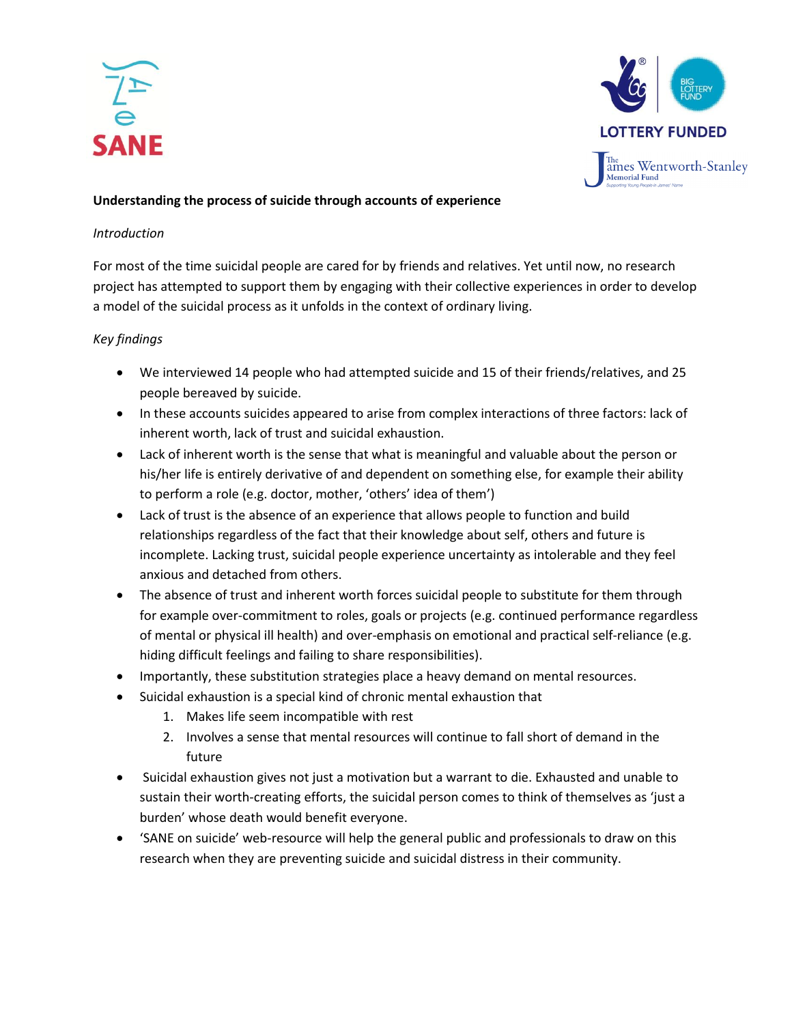



# **Understanding the process of suicide through accounts of experience**

## *Introduction*

For most of the time suicidal people are cared for by friends and relatives. Yet until now, no research project has attempted to support them by engaging with their collective experiences in order to develop a model of the suicidal process as it unfolds in the context of ordinary living.

# *Key findings*

- We interviewed 14 people who had attempted suicide and 15 of their friends/relatives, and 25 people bereaved by suicide.
- In these accounts suicides appeared to arise from complex interactions of three factors: lack of inherent worth, lack of trust and suicidal exhaustion.
- Lack of inherent worth is the sense that what is meaningful and valuable about the person or his/her life is entirely derivative of and dependent on something else, for example their ability to perform a role (e.g. doctor, mother, 'others' idea of them')
- Lack of trust is the absence of an experience that allows people to function and build relationships regardless of the fact that their knowledge about self, others and future is incomplete. Lacking trust, suicidal people experience uncertainty as intolerable and they feel anxious and detached from others.
- The absence of trust and inherent worth forces suicidal people to substitute for them through for example over-commitment to roles, goals or projects (e.g. continued performance regardless of mental or physical ill health) and over-emphasis on emotional and practical self-reliance (e.g. hiding difficult feelings and failing to share responsibilities).
- Importantly, these substitution strategies place a heavy demand on mental resources.
- Suicidal exhaustion is a special kind of chronic mental exhaustion that
	- 1. Makes life seem incompatible with rest
	- 2. Involves a sense that mental resources will continue to fall short of demand in the future
- Suicidal exhaustion gives not just a motivation but a warrant to die. Exhausted and unable to sustain their worth-creating efforts, the suicidal person comes to think of themselves as 'just a burden' whose death would benefit everyone.
- 'SANE on suicide' web-resource will help the general public and professionals to draw on this research when they are preventing suicide and suicidal distress in their community.